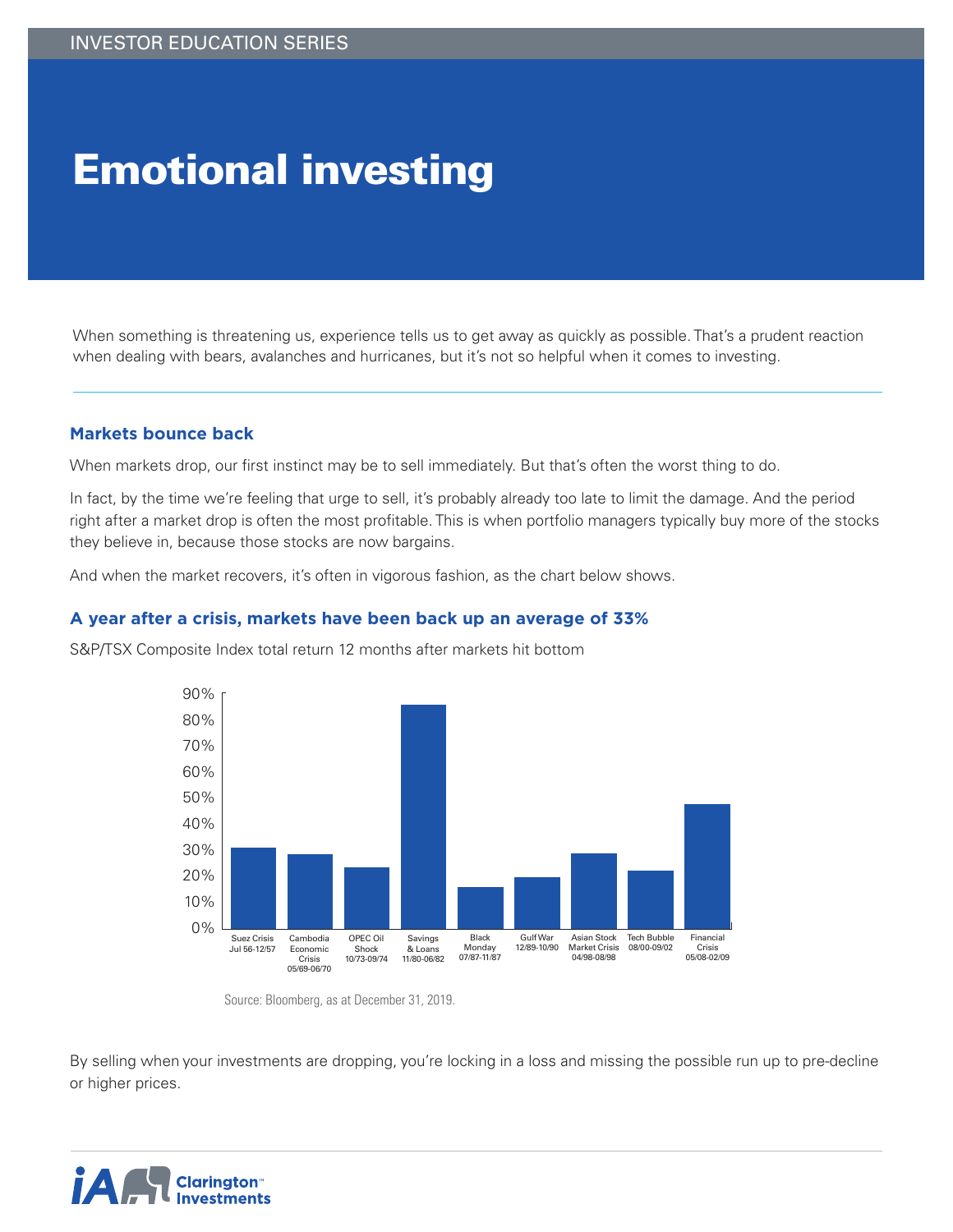# Emotional investing

When something is threatening us, experience tells us to get away as quickly as possible. That's a prudent reaction when dealing with bears, avalanches and hurricanes, but it's not so helpful when it comes to investing.

### **Markets bounce back**

When markets drop, our first instinct may be to sell immediately. But that's often the worst thing to do.

In fact, by the time we're feeling that urge to sell, it's probably already too late to limit the damage. And the period right after a market drop is often the most profitable. This is when portfolio managers typically buy more of the stocks they believe in, because those stocks are now bargains.

And when the market recovers, it's often in vigorous fashion, as the chart below shows.

#### **A year after a crisis, markets have been back up an average of 33%**

S&P/TSX Composite Index total return 12 months after markets hit bottom



Source: Bloomberg, as at December 31, 2019.

By selling when your investments are dropping, you're locking in a loss and missing the possible run up to pre-decline or higher prices.